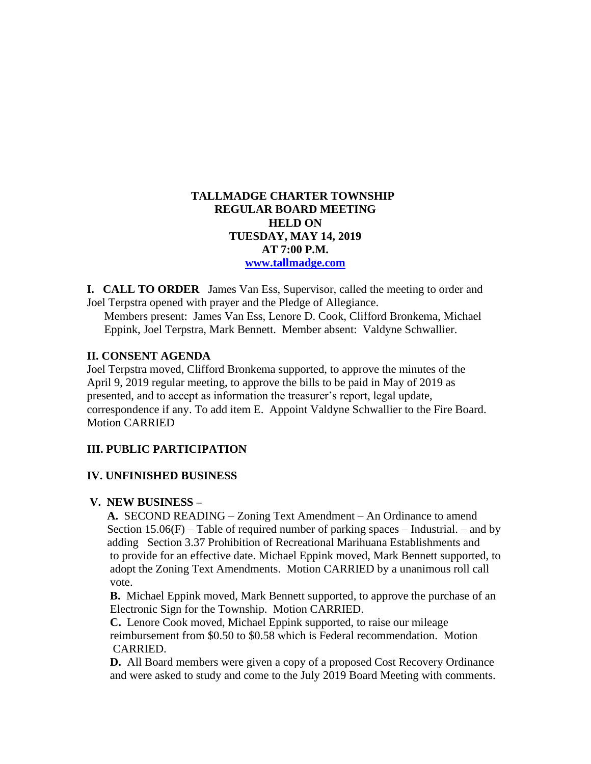## **TALLMADGE CHARTER TOWNSHIP REGULAR BOARD MEETING HELD ON TUESDAY, MAY 14, 2019 AT 7:00 P.M. [www.tallmadge.com](http://www.tallmadge.com/)**

**I. CALL TO ORDER** James Van Ess, Supervisor, called the meeting to order and Joel Terpstra opened with prayer and the Pledge of Allegiance.

Members present: James Van Ess, Lenore D. Cook, Clifford Bronkema, Michael Eppink, Joel Terpstra, Mark Bennett. Member absent: Valdyne Schwallier.

## **II. CONSENT AGENDA**

Joel Terpstra moved, Clifford Bronkema supported, to approve the minutes of the April 9, 2019 regular meeting, to approve the bills to be paid in May of 2019 as presented, and to accept as information the treasurer's report, legal update, correspondence if any. To add item E. Appoint Valdyne Schwallier to the Fire Board. Motion CARRIED

# **III. PUBLIC PARTICIPATION**

## **IV. UNFINISHED BUSINESS**

## **V. NEW BUSINESS –**

 **A.** SECOND READING – Zoning Text Amendment – An Ordinance to amend Section 15.06(F) – Table of required number of parking spaces – Industrial. – and by adding Section 3.37 Prohibition of Recreational Marihuana Establishments and to provide for an effective date. Michael Eppink moved, Mark Bennett supported, to adopt the Zoning Text Amendments. Motion CARRIED by a unanimous roll call vote.

 **B.** Michael Eppink moved, Mark Bennett supported, to approve the purchase of an Electronic Sign for the Township. Motion CARRIED.

 **C.** Lenore Cook moved, Michael Eppink supported, to raise our mileage reimbursement from \$0.50 to \$0.58 which is Federal recommendation. Motion CARRIED.

 **D.** All Board members were given a copy of a proposed Cost Recovery Ordinance and were asked to study and come to the July 2019 Board Meeting with comments.